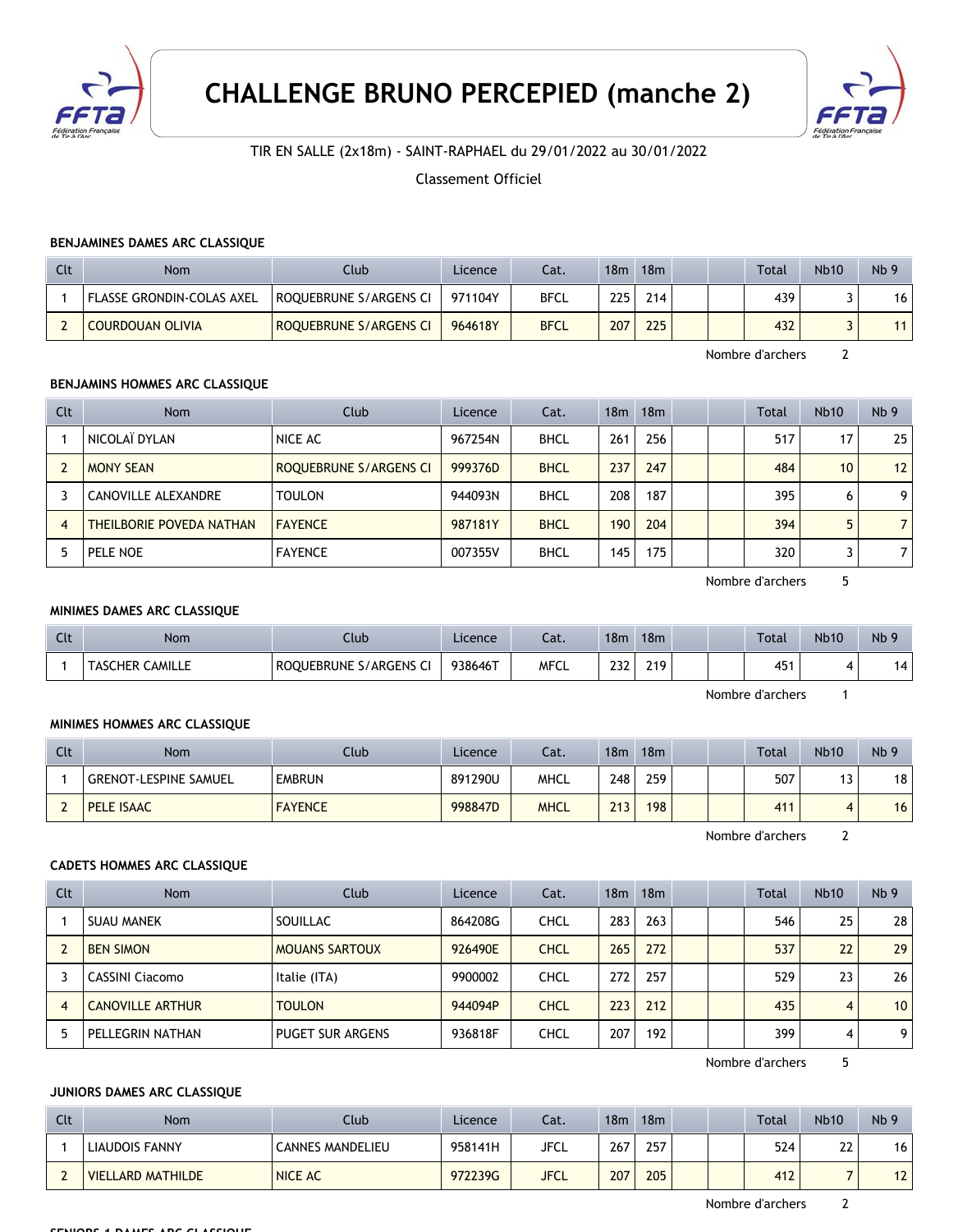



TIR EN SALLE (2x18m) - SAINT-RAPHAEL du 29/01/2022 au 30/01/2022

Classement Officiel

### **BENJAMINES DAMES ARC CLASSIQUE**

| Clt | Nom                       | Club                   | Licence | Cat.        | 18 <sub>m</sub> | 18m |  | Total | <b>Nb10</b> | Nb <sub>9</sub> |
|-----|---------------------------|------------------------|---------|-------------|-----------------|-----|--|-------|-------------|-----------------|
|     | FLASSE GRONDIN-COLAS AXEL | ROQUEBRUNE S/ARGENS CI | 971104Y | BFCL        | 225             | 214 |  | 439   |             | 16              |
|     | <b>COURDOUAN OLIVIA</b>   | ROQUEBRUNE S/ARGENS CI | 964618Y | <b>BFCL</b> | 207             | 225 |  | 432   |             | 11              |

Nombre d'archers 2

## **BENJAMINS HOMMES ARC CLASSIQUE**

| Clt | Nom                      | Club                   | Licence | Cat.        | 18m | 18m |  | <b>Total</b> | Nb10 | Nb <sub>9</sub> |
|-----|--------------------------|------------------------|---------|-------------|-----|-----|--|--------------|------|-----------------|
|     | NICOLAÏ DYLAN            | NICE AC                | 967254N | <b>BHCL</b> | 261 | 256 |  | 517          | 17   | 25              |
|     | <b>MONY SEAN</b>         | ROQUEBRUNE S/ARGENS CI | 999376D | <b>BHCL</b> | 237 | 247 |  | 484          | 10   | 12              |
|     | CANOVILLE ALEXANDRE      | <b>TOULON</b>          | 944093N | <b>BHCL</b> | 208 | 187 |  | 395          | b    | 9               |
| 4   | THEILBORIE POVEDA NATHAN | <b>FAYENCE</b>         | 987181Y | <b>BHCL</b> | 190 | 204 |  | 394          |      |                 |
|     | PELE NOE                 | <b>FAYENCE</b>         | 007355V | <b>BHCL</b> | 145 | 175 |  | 320          |      |                 |

Nombre d'archers 5

## **MINIMES DAMES ARC CLASSIQUE**

| $\sim$<br><b>CU.</b> | <b>Nom</b>                       | Llub                   | Licence | $\sim$<br>cal. | 18 <sub>m</sub> | 18 <sub>m</sub> |  | Total | Nb10                     | Nb <sub>5</sub> |
|----------------------|----------------------------------|------------------------|---------|----------------|-----------------|-----------------|--|-------|--------------------------|-----------------|
|                      | <b>CAMILLE</b><br><b>TASCHER</b> | ROQUEBRUNE S/ARGENS CI | 938646T | <b>MFCL</b>    | ววว<br>25 L     | 219             |  | 451   | $\overline{\phantom{a}}$ | 4ء              |

Nombre d'archers 1

## **MINIMES HOMMES ARC CLASSIQUE**

| Clt | Nom                          | Club           | Licence | Cat.        | 18m | 18 <sub>m</sub> |  | <b>Total</b> | <b>Nb10</b>        | Nb <sub>9</sub> |
|-----|------------------------------|----------------|---------|-------------|-----|-----------------|--|--------------|--------------------|-----------------|
|     | <b>GRENOT-LESPINE SAMUEL</b> | <b>EMBRUN</b>  | 891290U | MHCL        | 248 | 259             |  | 507          | $\ddot{\,}$<br>ر ا | 18              |
|     | <b>PELE ISAAC</b>            | <b>FAYENCE</b> | 998847D | <b>MHCL</b> | 213 | 198             |  | 411          | 4                  | 16              |

Nombre d'archers 2

#### **CADETS HOMMES ARC CLASSIQUE**

| Clt            | <b>Nom</b>              | Club                    | Licence | Cat.        | 18 <sub>m</sub> | 18 <sub>m</sub> |  | Total | <b>Nb10</b> | Nb <sub>9</sub> |
|----------------|-------------------------|-------------------------|---------|-------------|-----------------|-----------------|--|-------|-------------|-----------------|
|                | <b>SUAU MANEK</b>       | SOUILLAC                | 864208G | CHCL        | 283             | 263             |  | 546   | 25          | 28 <sup>1</sup> |
|                | <b>BEN SIMON</b>        | <b>MOUANS SARTOUX</b>   | 926490E | <b>CHCL</b> | 265             | 272             |  | 537   | 22          | 29              |
|                | <b>CASSINI Ciacomo</b>  | Italie (ITA)            | 9900002 | CHCL        | 272             | 257             |  | 529   | 23          | 26              |
| $\overline{4}$ | <b>CANOVILLE ARTHUR</b> | <b>TOULON</b>           | 944094P | <b>CHCL</b> | 223             | 212             |  | 435   | 4           | 10 <sup>1</sup> |
|                | PELLEGRIN NATHAN        | <b>PUGET SUR ARGENS</b> | 936818F | CHCL        | 207             | 192             |  | 399   | 4           | 9               |

Nombre d'archers 5

### **JUNIORS DAMES ARC CLASSIQUE**

| Clt                           | Nom               | Club                    | Licence | Cat.        | 18 <sub>m</sub> | 18m |  | <b>Total</b> | <b>Nb10</b> | Nb <sub>9</sub> |
|-------------------------------|-------------------|-------------------------|---------|-------------|-----------------|-----|--|--------------|-------------|-----------------|
|                               | LIAUDOIS FANNY    | <b>CANNES MANDELIEU</b> | 958141H | JFCL        | 267             | 257 |  | 524          | 22          | 16              |
| $\overline{\phantom{0}}$<br>L | VIELLARD MATHILDE | <b>NICE AC</b>          | 972239G | <b>JFCL</b> | 207             | 205 |  | 412          |             | 12 <sub>1</sub> |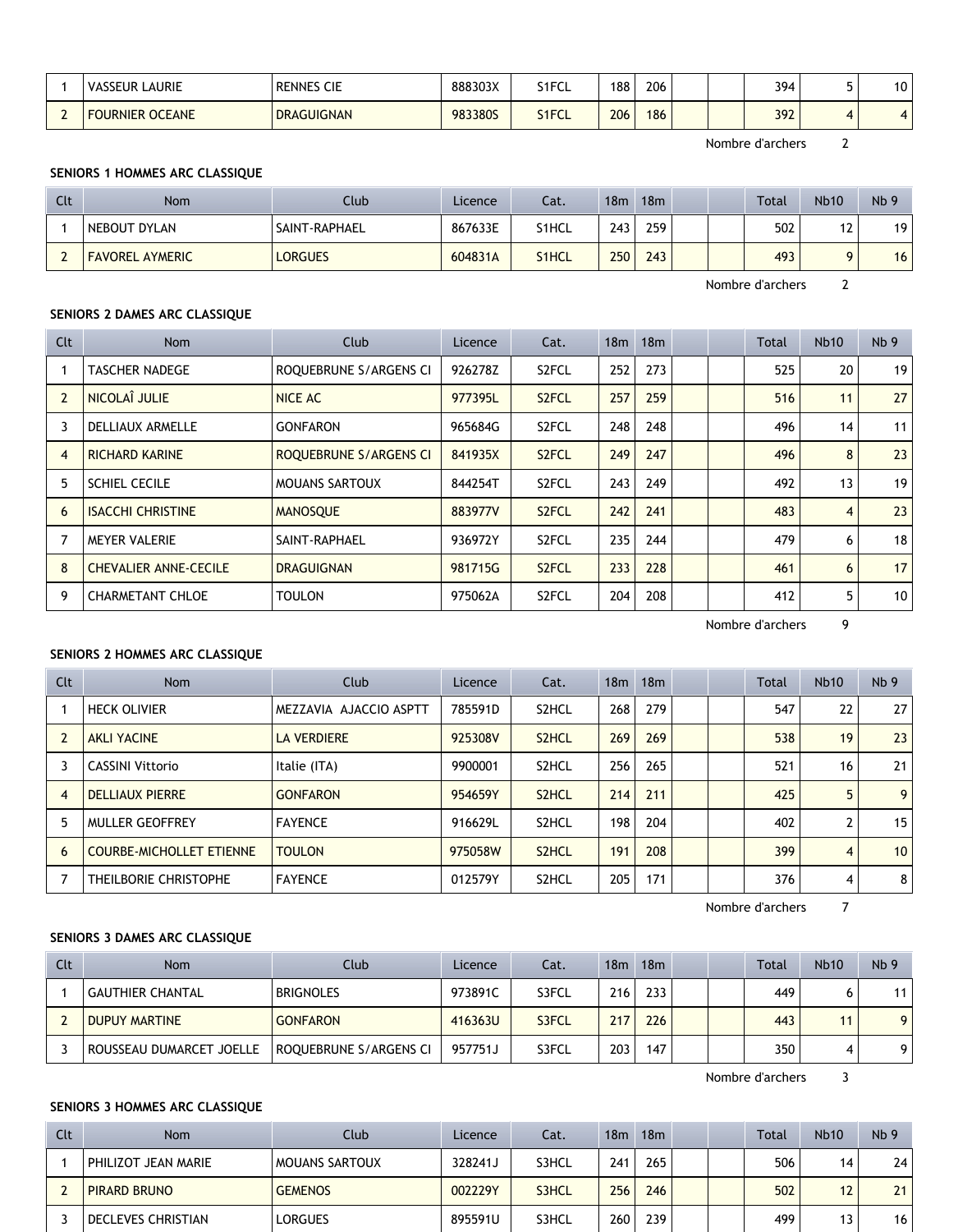|        | LAURIE<br><b>VASSEUR</b>         | <b>RENNES CIE</b> | 888303X | S1FCL | 188 | 206 |  | 394 | $\sim$<br>ו שו |
|--------|----------------------------------|-------------------|---------|-------|-----|-----|--|-----|----------------|
| $\sim$ | <b>OCEANE</b><br><b>FOURNIER</b> | <b>DRAGUIGNAN</b> | 983380S | S1FCL | 206 | 186 |  | 392 | 4 <sub>1</sub> |

Nombre d'archers 2

## **SENIORS 1 HOMMES ARC CLASSIQUE**

| Clt | Nom                    | Club           | Licence | Cat.               | 18m | 18m |  | <b>Total</b> | <b>Nb10</b> | Nb <sub>9</sub> |
|-----|------------------------|----------------|---------|--------------------|-----|-----|--|--------------|-------------|-----------------|
|     | NEBOUT DYLAN           | SAINT-RAPHAEL  | 867633E | S1HCL              | 243 | 259 |  | 502          | 12          | 19              |
|     | <b>FAVOREL AYMERIC</b> | <b>LORGUES</b> | 604831A | S <sub>1</sub> HCL | 250 | 243 |  | 493          |             | 16              |

Nombre d'archers 2

# **SENIORS 2 DAMES ARC CLASSIQUE**

| Clt            | Nom                          | Club                   | Licence | Cat.               | 18 <sub>m</sub> | 18m |  | Total | <b>Nb10</b>     | Nb <sub>9</sub> |
|----------------|------------------------------|------------------------|---------|--------------------|-----------------|-----|--|-------|-----------------|-----------------|
|                | <b>TASCHER NADEGE</b>        | ROQUEBRUNE S/ARGENS CI | 926278Z | S <sub>2</sub> FCL | 252             | 273 |  | 525   | 20              | 19              |
| $\overline{2}$ | NICOLAÎ JULIE                | NICE AC                | 977395L | S <sub>2</sub> FCL | 257             | 259 |  | 516   | 11              | 27              |
| 3              | <b>DELLIAUX ARMELLE</b>      | <b>GONFARON</b>        | 965684G | S <sub>2</sub> FCL | 248             | 248 |  | 496   | 14 <sub>1</sub> | 11              |
| $\overline{4}$ | <b>RICHARD KARINE</b>        | ROQUEBRUNE S/ARGENS CI | 841935X | S <sub>2</sub> FCL | 249             | 247 |  | 496   | 8               | 23              |
| 5              | <b>SCHIEL CECILE</b>         | <b>MOUANS SARTOUX</b>  | 844254T | S <sub>2</sub> FCL | 243             | 249 |  | 492   | 13              | 19              |
| 6              | <b>ISACCHI CHRISTINE</b>     | <b>MANOSOUE</b>        | 883977V | S <sub>2</sub> FCL | 242             | 241 |  | 483   | 4               | 23              |
|                | <b>MEYER VALERIE</b>         | SAINT-RAPHAEL          | 936972Y | S <sub>2</sub> FCL | 235             | 244 |  | 479   | 6               | 18              |
| 8              | <b>CHEVALIER ANNE-CECILE</b> | <b>DRAGUIGNAN</b>      | 981715G | S <sub>2</sub> FCL | 233             | 228 |  | 461   | 6               | 17              |
| 9              | <b>CHARMETANT CHLOE</b>      | <b>TOULON</b>          | 975062A | S <sub>2</sub> FCL | 204             | 208 |  | 412   | 5               | 10              |

Nombre d'archers 9

## **SENIORS 2 HOMMES ARC CLASSIQUE**

| Clt            | <b>Nom</b>                      | Club                   | Licence | Cat.               | 18 <sub>m</sub> | 18 <sub>m</sub> |  | <b>Total</b> | <b>Nb10</b>    | Nb <sub>9</sub> |
|----------------|---------------------------------|------------------------|---------|--------------------|-----------------|-----------------|--|--------------|----------------|-----------------|
|                | <b>HECK OLIVIER</b>             | MEZZAVIA AJACCIO ASPTT | 785591D | S2HCL              | 268             | 279             |  | 547          | 22             | 27 <sup>1</sup> |
|                | <b>AKLI YACINE</b>              | <b>LA VERDIERE</b>     | 925308V | S <sub>2</sub> HCL | 269             | 269             |  | 538          | 19             | 23              |
| 3              | <b>CASSINI Vittorio</b>         | Italie (ITA)           | 9900001 | S2HCL              | 256             | 265             |  | 521          | 16             | 21              |
| $\overline{4}$ | <b>DELLIAUX PIERRE</b>          | <b>GONFARON</b>        | 954659Y | S <sub>2</sub> HCL | 214             | 211             |  | 425          | 5              | 9 <sup>1</sup>  |
| 5              | MULLER GEOFFREY                 | <b>FAYENCE</b>         | 916629L | S <sub>2</sub> HCL | 198             | 204             |  | 402          |                | 15 <sup>1</sup> |
| 6              | <b>COURBE-MICHOLLET ETIENNE</b> | <b>TOULON</b>          | 975058W | S <sub>2</sub> HCL | 191             | 208             |  | 399          | $\overline{4}$ | 10 <sup>1</sup> |
|                | THEILBORIE CHRISTOPHE           | <b>FAYENCE</b>         | 012579Y | S2HCL              | 205             | 171             |  | 376          | 4              | 8 <sup>1</sup>  |

Nombre d'archers 7

# **SENIORS 3 DAMES ARC CLASSIQUE**

| Clt | <b>Nom</b>               | Club                   | Licence | Cat.  | 18 <sub>m</sub> | 18m |  | <b>Total</b> | <b>Nb10</b> | Nb <sub>9</sub> |
|-----|--------------------------|------------------------|---------|-------|-----------------|-----|--|--------------|-------------|-----------------|
|     | <b>GAUTHIER CHANTAL</b>  | <b>BRIGNOLES</b>       | 973891C | S3FCL | 216             | 233 |  | 449          |             | 11              |
|     | <b>DUPUY MARTINE</b>     | <b>GONFARON</b>        | 416363U | S3FCL | 217             | 226 |  | 443          |             | 9 <sup>1</sup>  |
|     | ROUSSEAU DUMARCET JOELLE | ROQUEBRUNE S/ARGENS CI | 957751J | S3FCL | 203             | 147 |  | 350          |             | 9               |

Nombre d'archers 3

## **SENIORS 3 HOMMES ARC CLASSIQUE**

| Clt | Nom                 | Club                  | Licence | Cat.  | 18 <sub>m</sub> | 18 <sub>m</sub> |  | <b>Total</b> | <b>Nb10</b> | Nb <sub>9</sub> |
|-----|---------------------|-----------------------|---------|-------|-----------------|-----------------|--|--------------|-------------|-----------------|
|     | PHILIZOT JEAN MARIE | <b>MOUANS SARTOUX</b> | 328241J | S3HCL | 241             | 265             |  | 506          | 14          | 24              |
|     | PIRARD BRUNO        | <b>GEMENOS</b>        | 002229Y | S3HCL | 256             | 246             |  | 502          |             | 21              |
|     | DECLEVES CHRISTIAN  | <b>LORGUES</b>        | 895591U | S3HCL | 260             | 239             |  | 499          |             | 16              |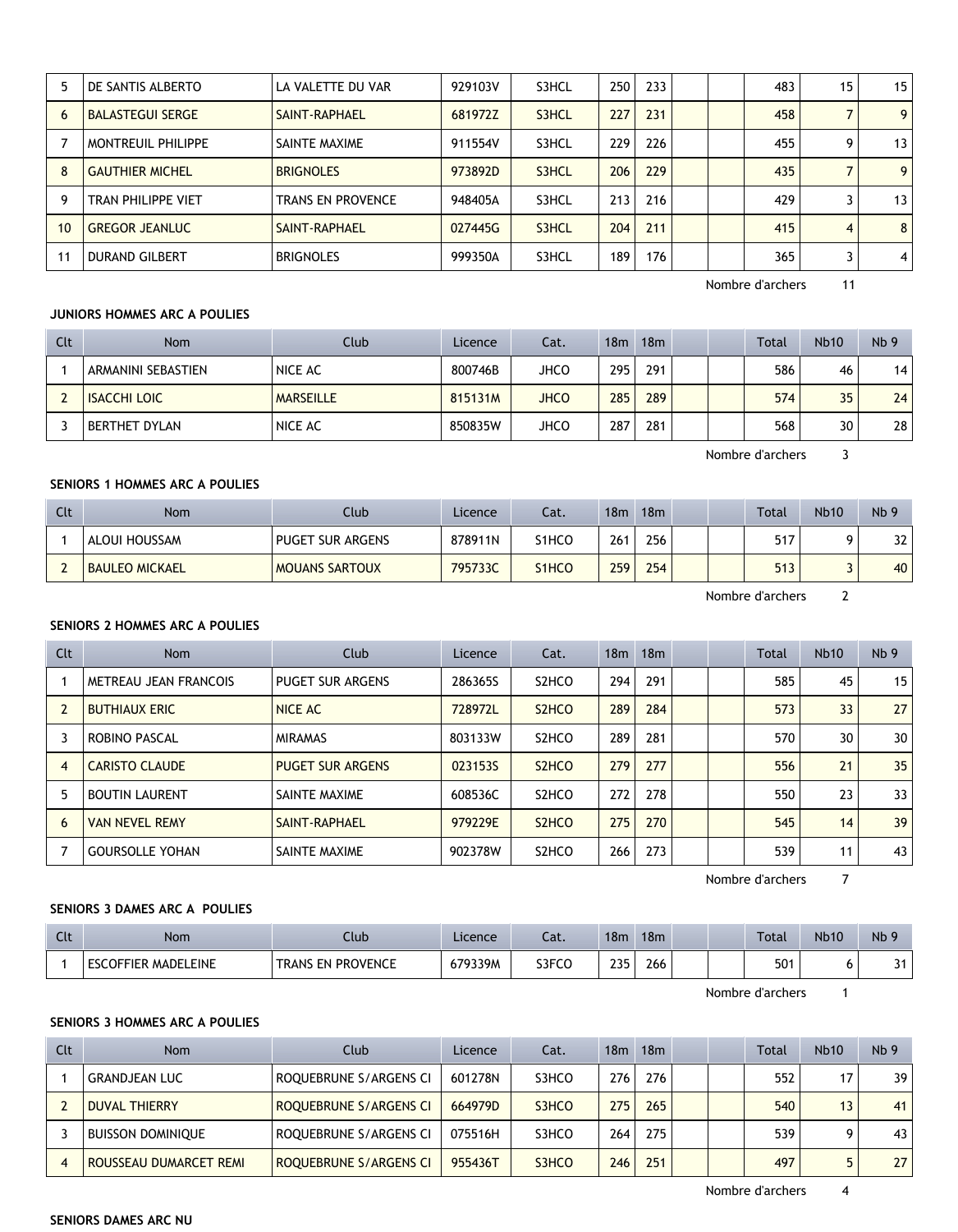|    | DE SANTIS ALBERTO         | LA VALETTE DU VAR        | 929103V | S3HCL | 250 | 233 |  | 483 | 15 | 15 |
|----|---------------------------|--------------------------|---------|-------|-----|-----|--|-----|----|----|
| 6  | <b>BALASTEGUI SERGE</b>   | SAINT-RAPHAEL            | 681972Z | S3HCL | 227 | 231 |  | 458 |    | 9  |
|    | MONTREUIL PHILIPPE        | SAINTE MAXIME            | 911554V | S3HCL | 229 | 226 |  | 455 | q  | 13 |
| 8  | <b>GAUTHIER MICHEL</b>    | <b>BRIGNOLES</b>         | 973892D | S3HCL | 206 | 229 |  | 435 |    | 9  |
| 9  | <b>TRAN PHILIPPE VIET</b> | <b>TRANS EN PROVENCE</b> | 948405A | S3HCL | 213 | 216 |  | 429 |    | 13 |
| 10 | <b>GREGOR JEANLUC</b>     | SAINT-RAPHAEL            | 027445G | S3HCL | 204 | 211 |  | 415 | 4  | 8  |
| 11 | <b>DURAND GILBERT</b>     | <b>BRIGNOLES</b>         | 999350A | S3HCL | 189 | 176 |  | 365 |    | 4  |

Nombre d'archers 11

## **JUNIORS HOMMES ARC A POULIES**

| Clt | <b>Nom</b>          | Club             | Licence | Cat.        | 18 <sub>m</sub> | 18 <sub>m</sub> |  | <b>Total</b> | <b>Nb10</b> | Nb <sub>9</sub> |
|-----|---------------------|------------------|---------|-------------|-----------------|-----------------|--|--------------|-------------|-----------------|
|     | ARMANINI SEBASTIEN  | NICE AC          | 800746B | <b>JHCO</b> | 295             | 291             |  | 586          | 46          | 14              |
|     | <b>ISACCHI LOIC</b> | <b>MARSEILLE</b> | 815131M | <b>JHCO</b> | 285             | 289             |  | 574          | 35          | 24              |
|     | BERTHET DYLAN       | NICE AC          | 850835W | <b>JHCO</b> | 287             | 281             |  | 568          | 30          | 28              |

Nombre d'archers 3

# **SENIORS 1 HOMMES ARC A POULIES**

| Clt | Nom                   | Club                    | Licence | Cat.  | 18 <sub>m</sub> | 18m | <b>Total</b> | <b>Nb10</b> | Nb <sub>9</sub> |
|-----|-----------------------|-------------------------|---------|-------|-----------------|-----|--------------|-------------|-----------------|
|     | ALOUI HOUSSAM         | <b>PUGET SUR ARGENS</b> | 878911N | S1HCO | 261             | 256 | 517          |             | 32              |
|     | <b>BAULEO MICKAEL</b> | <b>MOUANS SARTOUX</b>   | 795733C | S1HCO | 259             | 254 | 513          |             | 40              |

Nombre d'archers 2

# **SENIORS 2 HOMMES ARC A POULIES**

| Clt            | <b>Nom</b>             | Club                    | Licence | Cat.                           | 18 <sub>m</sub> | 18m |  | <b>Total</b> | <b>Nb10</b>     | Nb <sub>9</sub> |
|----------------|------------------------|-------------------------|---------|--------------------------------|-----------------|-----|--|--------------|-----------------|-----------------|
|                | METREAU JEAN FRANCOIS  | PUGET SUR ARGENS        | 286365S | S <sub>2</sub> HC <sub>O</sub> | 294             | 291 |  | 585          | 45              | 15              |
| $\overline{2}$ | <b>BUTHIAUX ERIC</b>   | NICE AC                 | 728972L | S <sub>2</sub> HC <sub>O</sub> | 289             | 284 |  | 573          | 33 <sup>°</sup> | 27              |
| 3              | ROBINO PASCAL          | <b>MIRAMAS</b>          | 803133W | S <sub>2</sub> HCO             | 289             | 281 |  | 570          | 30              | 30              |
| 4              | <b>CARISTO CLAUDE</b>  | <b>PUGET SUR ARGENS</b> | 0231535 | S <sub>2</sub> HC <sub>O</sub> | 279             | 277 |  | 556          | 21              | 35              |
| 5              | <b>BOUTIN LAURENT</b>  | SAINTE MAXIME           | 608536C | S <sub>2</sub> HC <sub>O</sub> | 272             | 278 |  | 550          | 23              | 33              |
| 6              | <b>VAN NEVEL REMY</b>  | SAINT-RAPHAEL           | 979229E | S <sub>2</sub> H <sub>CO</sub> | 275             | 270 |  | 545          | 14              | 39              |
|                | <b>GOURSOLLE YOHAN</b> | SAINTE MAXIME           | 902378W | S <sub>2</sub> HCO             | 266             | 273 |  | 539          | 11              | 43              |

Nombre d'archers 7

## **SENIORS 3 DAMES ARC A POULIES**

| $\sim$<br>นเ | Nom                        | Club                     | Licence | Cat.  | 18m         | 18m |  | Total | Nb10 | Nb <sub>5</sub> |
|--------------|----------------------------|--------------------------|---------|-------|-------------|-----|--|-------|------|-----------------|
|              | <b>ESCOFFIER MADELEINE</b> | <b>TRANS EN PROVENCE</b> | 679339M | S3FCO | 235<br>ر ر_ | 266 |  | 501   |      | $2$<br>ັ        |

Nombre d'archers 1

### **SENIORS 3 HOMMES ARC A POULIES**

| Clt | <b>Nom</b>               | Club                          | Licence | Cat.  | 18m | 18 <sub>m</sub> |  | Total | <b>Nb10</b> | Nb <sub>9</sub> |
|-----|--------------------------|-------------------------------|---------|-------|-----|-----------------|--|-------|-------------|-----------------|
|     | <b>GRANDJEAN LUC</b>     | ROQUEBRUNE S/ARGENS CI        | 601278N | S3HCO | 276 | 276             |  | 552   | 17          | 39              |
|     | <b>DUVAL THIERRY</b>     | <b>ROQUEBRUNE S/ARGENS CI</b> | 664979D | S3HCO | 275 | 265             |  | 540   | 13          | 41              |
|     | <b>BUISSON DOMINIQUE</b> | ROQUEBRUNE S/ARGENS CI        | 075516H | S3HCO | 264 | 275             |  | 539   |             | 43              |
|     | ROUSSEAU DUMARCET REMI   | ROQUEBRUNE S/ARGENS CI        | 955436T | S3HCO | 246 | 251             |  | 497   |             | 27              |

**SENIORS DAMES ARC NU**